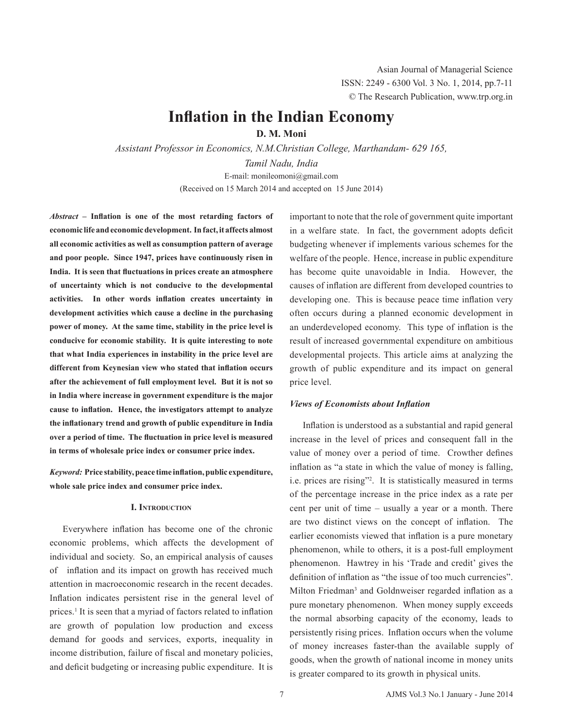# **Inflation in the Indian Economy**

**D. M. Moni**

*Assistant Professor in Economics, N.M.Christian College, Marthandam- 629 165,* 

*Tamil Nadu, India* E-mail: monileomoni@gmail.com (Received on 15 March 2014 and accepted on 15 June 2014)

*Abstract* **– Inflation is one of the most retarding factors of economic life andeconomicdevelopment. Infact,it affects almost all economic activities as well as consumption pattern of average and poor people. Since 1947, prices have continuously risen in India. It is seen that fluctuations in prices create an atmosphere of uncertainty which is not conducive to the developmental activities. In other words inflation creates uncertainty in development activities which cause a decline in the purchasing power of money. At the same time, stability in the price level is conducive for economic stability. It is quite interesting to note that what India experiences in instability in the price level are different from Keynesian view who stated that inflation occurs after the achievement of full employment level. But it is not so in India where increase in government expenditure is the major cause to inflation. Hence, the investigators attempt to analyze the inflationary trend and growth of public expenditure in India over a period of time. The fluctuation in price level is measured in terms of wholesale price index or consumer price index.** 

*Keyword:* **Price stability,peace time inflation,public expenditure, whole sale price index and consumer price index.** 

## **I. Introduction**

Everywhere inflation has become one of the chronic economic problems, which affects the development of individual and society. So, an empirical analysis of causes of inflation and its impact on growth has received much attention in macroeconomic research in the recent decades. Inflation indicates persistent rise in the general level of prices.<sup>1</sup> It is seen that a myriad of factors related to inflation are growth of population low production and excess demand for goods and services, exports, inequality in income distribution, failure of fiscal and monetary policies, and deficit budgeting or increasing public expenditure. It is

important to note that the role of government quite important in a welfare state. In fact, the government adopts deficit budgeting whenever if implements various schemes for the welfare of the people. Hence, increase in public expenditure has become quite unavoidable in India. However, the causes of inflation are different from developed countries to developing one. This is because peace time inflation very often occurs during a planned economic development in an underdeveloped economy. This type of inflation is the result of increased governmental expenditure on ambitious developmental projects. This article aims at analyzing the growth of public expenditure and its impact on general price level.

# *Views of Economists about Inflation*

Inflation is understood as a substantial and rapid general increase in the level of prices and consequent fall in the value of money over a period of time. Crowther defines inflation as "a state in which the value of money is falling, i.e. prices are rising"2 . It is statistically measured in terms of the percentage increase in the price index as a rate per cent per unit of time – usually a year or a month. There are two distinct views on the concept of inflation. The earlier economists viewed that inflation is a pure monetary phenomenon, while to others, it is a post-full employment phenomenon. Hawtrey in his 'Trade and credit' gives the definition of inflation as "the issue of too much currencies". Milton Friedman<sup>3</sup> and Goldnweiser regarded inflation as a pure monetary phenomenon. When money supply exceeds the normal absorbing capacity of the economy, leads to persistently rising prices. Inflation occurs when the volume of money increases faster-than the available supply of goods, when the growth of national income in money units is greater compared to its growth in physical units.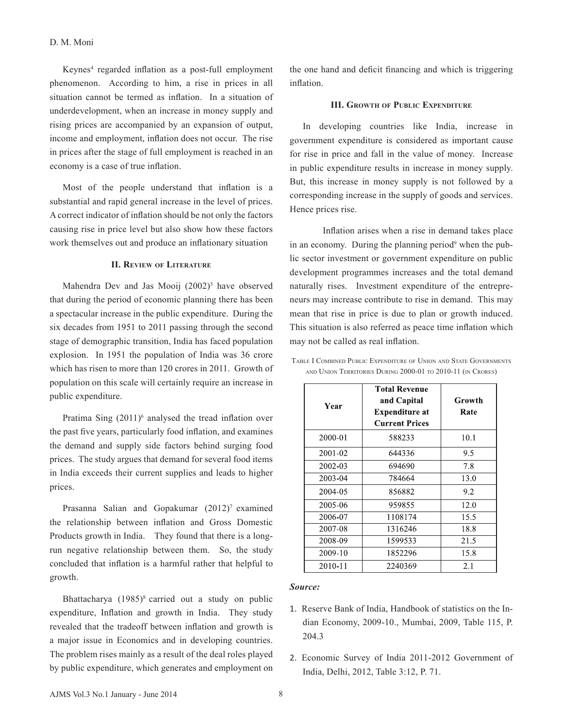Keynes4 regarded inflation as a post-full employment phenomenon. According to him, a rise in prices in all situation cannot be termed as inflation. In a situation of underdevelopment, when an increase in money supply and rising prices are accompanied by an expansion of output, income and employment, inflation does not occur. The rise in prices after the stage of full employment is reached in an economy is a case of true inflation.

Most of the people understand that inflation is a substantial and rapid general increase in the level of prices. A correct indicator of inflation should be not only the factors causing rise in price level but also show how these factors work themselves out and produce an inflationary situation

## **II. Review of Literature**

Mahendra Dev and Jas Mooij  $(2002)^5$  have observed that during the period of economic planning there has been a spectacular increase in the public expenditure. During the six decades from 1951 to 2011 passing through the second stage of demographic transition, India has faced population explosion. In 1951 the population of India was 36 crore which has risen to more than 120 crores in 2011. Growth of population on this scale will certainly require an increase in public expenditure.

Pratima Sing  $(2011)^6$  analysed the tread inflation over the past five years, particularly food inflation, and examines the demand and supply side factors behind surging food prices. The study argues that demand for several food items in India exceeds their current supplies and leads to higher prices.

Prasanna Salian and Gopakumar (2012)<sup>7</sup> examined the relationship between inflation and Gross Domestic Products growth in India. They found that there is a longrun negative relationship between them. So, the study concluded that inflation is a harmful rather that helpful to growth.

Bhattacharya  $(1985)^8$  carried out a study on public expenditure, Inflation and growth in India. They study revealed that the tradeoff between inflation and growth is a major issue in Economics and in developing countries. The problem rises mainly as a result of the deal roles played by public expenditure, which generates and employment on the one hand and deficit financing and which is triggering inflation.

# **III. Growth of Public Expenditure**

In developing countries like India, increase in government expenditure is considered as important cause for rise in price and fall in the value of money. Increase in public expenditure results in increase in money supply. But, this increase in money supply is not followed by a corresponding increase in the supply of goods and services. Hence prices rise.

Inflation arises when a rise in demand takes place in an economy. During the planning period<sup>9</sup> when the public sector investment or government expenditure on public development programmes increases and the total demand naturally rises. Investment expenditure of the entrepreneurs may increase contribute to rise in demand. This may mean that rise in price is due to plan or growth induced. This situation is also referred as peace time inflation which may not be called as real inflation.

| Year    | <b>Total Revenue</b><br>and Capital<br><b>Expenditure at</b><br><b>Current Prices</b> | Growth<br>Rate |
|---------|---------------------------------------------------------------------------------------|----------------|
| 2000-01 | 588233                                                                                | 10.1           |
| 2001-02 | 644336                                                                                | 9.5            |
| 2002-03 | 694690                                                                                | 7.8            |
| 2003-04 | 784664                                                                                | 13.0           |
| 2004-05 | 856882                                                                                | 9.2            |
| 2005-06 | 959855                                                                                | 12.0           |
| 2006-07 | 1108174                                                                               | 15.5           |
| 2007-08 | 1316246                                                                               | 18.8           |
| 2008-09 | 1599533                                                                               | 21.5           |
| 2009-10 | 1852296                                                                               | 15.8           |
| 2010-11 | 2240369                                                                               | 2.1            |

Table I Combined Public Expenditure of Union and State Governments and Union Territories During 2000-01 to 2010-11 (in Crores)

#### *Source:*

- 1. Reserve Bank of India, Handbook of statistics on the Indian Economy, 2009-10., Mumbai, 2009, Table 115, P. 204.3
- 2. Economic Survey of India 2011-2012 Government of India, Delhi, 2012, Table 3:12, P. 71.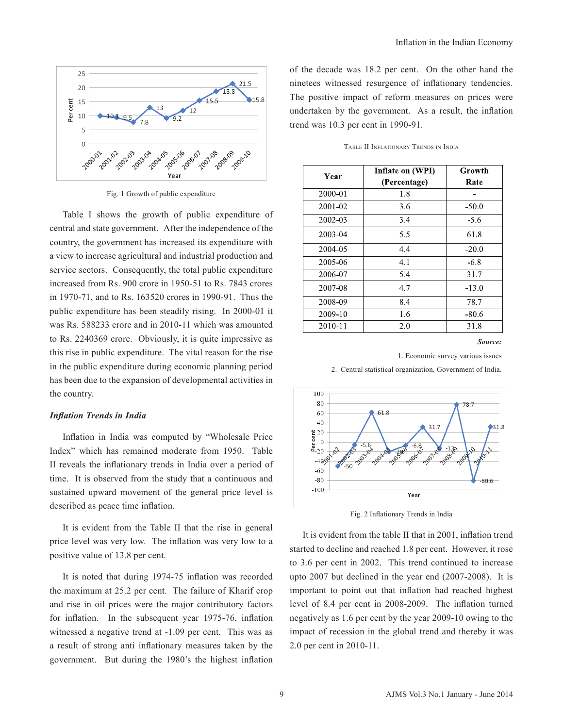

Fig. 1 Growth of public expenditure

Table I shows the growth of public expenditure of central and state government. After the independence of the country, the government has increased its expenditure with a view to increase agricultural and industrial production and service sectors. Consequently, the total public expenditure increased from Rs. 900 crore in 1950-51 to Rs. 7843 crores in 1970-71, and to Rs. 163520 crores in 1990-91. Thus the public expenditure has been steadily rising. In 2000-01 it was Rs. 588233 crore and in 2010-11 which was amounted to Rs. 2240369 crore. Obviously, it is quite impressive as this rise in public expenditure. The vital reason for the rise in the public expenditure during economic planning period has been due to the expansion of developmental activities in the country.

#### *Inflation Trends in India*

Inflation in India was computed by "Wholesale Price Index" which has remained moderate from 1950. Table II reveals the inflationary trends in India over a period of time. It is observed from the study that a continuous and sustained upward movement of the general price level is described as peace time inflation.

It is evident from the Table II that the rise in general price level was very low. The inflation was very low to a positive value of 13.8 per cent.

It is noted that during 1974-75 inflation was recorded the maximum at 25.2 per cent. The failure of Kharif crop and rise in oil prices were the major contributory factors for inflation. In the subsequent year 1975-76, inflation witnessed a negative trend at -1.09 per cent. This was as a result of strong anti inflationary measures taken by the government. But during the 1980's the highest inflation of the decade was 18.2 per cent. On the other hand the ninetees witnessed resurgence of inflationary tendencies. The positive impact of reform measures on prices were undertaken by the government. As a result, the inflation trend was 10.3 per cent in 1990-91.

| Year    | Inflate on (WPI)<br>(Percentage) | Growth<br>Rate |
|---------|----------------------------------|----------------|
| 2000-01 | 1.8                              |                |
| 2001-02 | 3.6                              | $-50.0$        |
| 2002-03 | 3.4                              | $-5.6$         |
| 2003-04 | 5.5                              | 61.8           |
| 2004-05 | 4.4                              | $-20.0$        |
| 2005-06 | 4.1                              | $-6.8$         |
| 2006-07 | 5.4                              | 31.7           |
| 2007-08 | 4.7                              | $-13.0$        |
| 2008-09 | 8.4                              | 78.7           |
| 2009-10 | 1.6                              | $-80.6$        |
| 2010-11 | 2.0                              | 31.8           |

Table II Inflationary Trends in India

*Source:* 

1. Economic survey various issues



2. Central statistical organization, Government of India.

Fig. 2 Inflationary Trends in India

It is evident from the table II that in 2001, inflation trend started to decline and reached 1.8 per cent. However, it rose to 3.6 per cent in 2002. This trend continued to increase upto 2007 but declined in the year end (2007-2008). It is important to point out that inflation had reached highest level of 8.4 per cent in 2008-2009. The inflation turned negatively as 1.6 per cent by the year 2009-10 owing to the impact of recession in the global trend and thereby it was 2.0 per cent in 2010-11.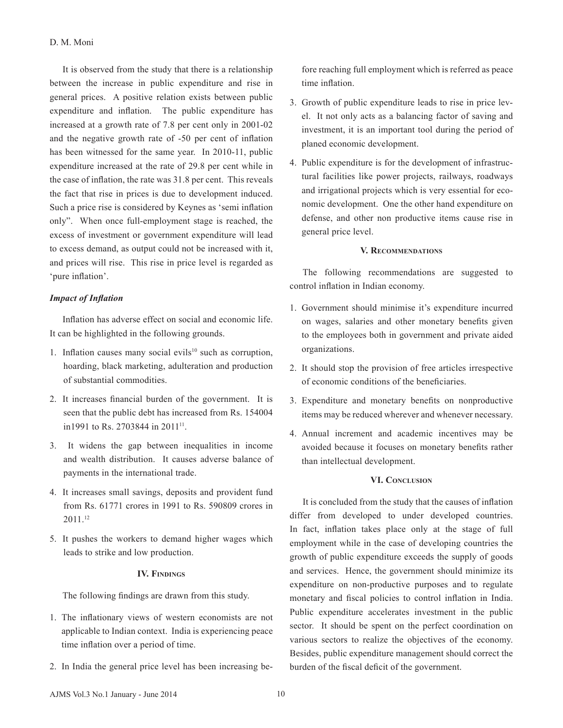## D. M. Moni

It is observed from the study that there is a relationship between the increase in public expenditure and rise in general prices. A positive relation exists between public expenditure and inflation. The public expenditure has increased at a growth rate of 7.8 per cent only in 2001-02 and the negative growth rate of -50 per cent of inflation has been witnessed for the same year. In 2010-11, public expenditure increased at the rate of 29.8 per cent while in the case of inflation, the rate was 31.8 per cent. This reveals the fact that rise in prices is due to development induced. Such a price rise is considered by Keynes as 'semi inflation only". When once full-employment stage is reached, the excess of investment or government expenditure will lead to excess demand, as output could not be increased with it, and prices will rise. This rise in price level is regarded as 'pure inflation'.

# *Impact of Inflation*

Inflation has adverse effect on social and economic life. It can be highlighted in the following grounds.

- 1. Inflation causes many social evils<sup>10</sup> such as corruption, hoarding, black marketing, adulteration and production of substantial commodities.
- 2. It increases financial burden of the government. It is seen that the public debt has increased from Rs. 154004 in1991 to Rs. 2703844 in 2011<sup>11</sup>.
- 3. It widens the gap between inequalities in income and wealth distribution. It causes adverse balance of payments in the international trade.
- 4. It increases small savings, deposits and provident fund from Rs. 61771 crores in 1991 to Rs. 590809 crores in 2011.12
- 5. It pushes the workers to demand higher wages which leads to strike and low production.

## **IV. Findings**

The following findings are drawn from this study.

- 1. The inflationary views of western economists are not applicable to Indian context. India is experiencing peace time inflation over a period of time.
- 2. In India the general price level has been increasing be-

fore reaching full employment which is referred as peace time inflation.

- 3. Growth of public expenditure leads to rise in price level. It not only acts as a balancing factor of saving and investment, it is an important tool during the period of planed economic development.
- 4. Public expenditure is for the development of infrastructural facilities like power projects, railways, roadways and irrigational projects which is very essential for economic development. One the other hand expenditure on defense, and other non productive items cause rise in general price level.

#### **V. Recommendations**

The following recommendations are suggested to control inflation in Indian economy.

- 1. Government should minimise it's expenditure incurred on wages, salaries and other monetary benefits given to the employees both in government and private aided organizations.
- 2. It should stop the provision of free articles irrespective of economic conditions of the beneficiaries.
- 3. Expenditure and monetary benefits on nonproductive items may be reduced wherever and whenever necessary.
- 4. Annual increment and academic incentives may be avoided because it focuses on monetary benefits rather than intellectual development.

## **VI. Conclusion**

It is concluded from the study that the causes of inflation differ from developed to under developed countries. In fact, inflation takes place only at the stage of full employment while in the case of developing countries the growth of public expenditure exceeds the supply of goods and services. Hence, the government should minimize its expenditure on non-productive purposes and to regulate monetary and fiscal policies to control inflation in India. Public expenditure accelerates investment in the public sector. It should be spent on the perfect coordination on various sectors to realize the objectives of the economy. Besides, public expenditure management should correct the burden of the fiscal deficit of the government.